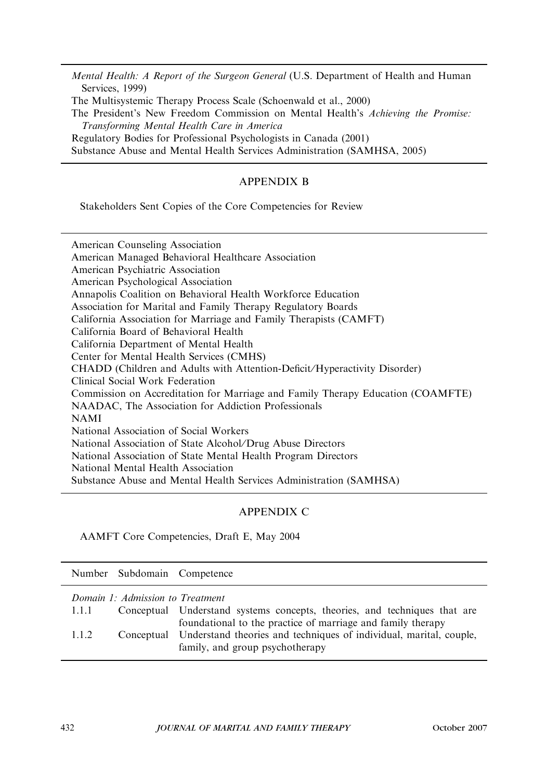Mental Health: A Report of the Surgeon General (U.S. Department of Health and Human Services, 1999) The Multisystemic Therapy Process Scale (Schoenwald et al., 2000) The President's New Freedom Commission on Mental Health's Achieving the Promise: Transforming Mental Health Care in America Regulatory Bodies for Professional Psychologists in Canada (2001) Substance Abuse and Mental Health Services Administration (SAMHSA, 2005)

## APPENDIX B

Stakeholders Sent Copies of the Core Competencies for Review

American Counseling Association American Managed Behavioral Healthcare Association American Psychiatric Association American Psychological Association Annapolis Coalition on Behavioral Health Workforce Education Association for Marital and Family Therapy Regulatory Boards California Association for Marriage and Family Therapists (CAMFT) California Board of Behavioral Health California Department of Mental Health Center for Mental Health Services (CMHS) CHADD (Children and Adults with Attention-Deficit⁄ Hyperactivity Disorder) Clinical Social Work Federation Commission on Accreditation for Marriage and Family Therapy Education (COAMFTE) NAADAC, The Association for Addiction Professionals NAMI National Association of Social Workers National Association of State Alcohol/Drug Abuse Directors National Association of State Mental Health Program Directors National Mental Health Association Substance Abuse and Mental Health Services Administration (SAMHSA)

## APPENDIX C

AAMFT Core Competencies, Draft E, May 2004

|       | Number Subdomain Competence      |                                                                                                                                                                                 |
|-------|----------------------------------|---------------------------------------------------------------------------------------------------------------------------------------------------------------------------------|
| 1.1.1 | Domain 1: Admission to Treatment | Conceptual Understand systems concepts, theories, and techniques that are                                                                                                       |
| 1.1.2 |                                  | foundational to the practice of marriage and family therapy<br>Conceptual Understand theories and techniques of individual, marital, couple,<br>family, and group psychotherapy |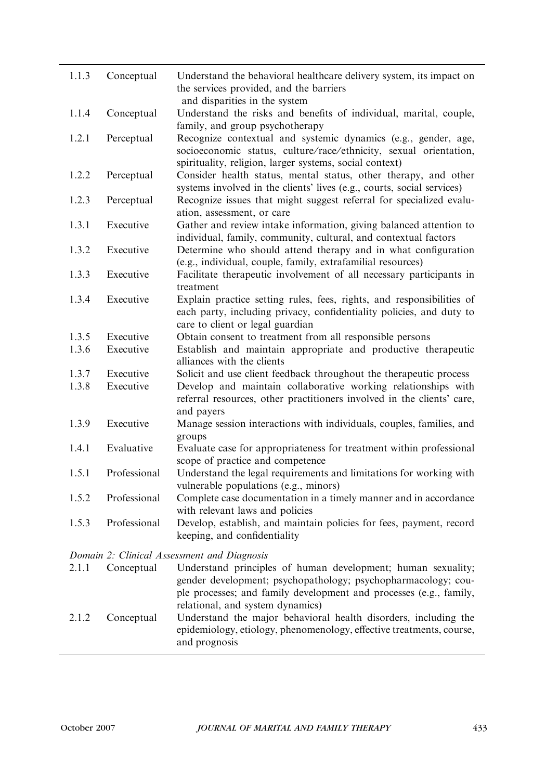| 1.1.3 | Conceptual   | Understand the behavioral healthcare delivery system, its impact on<br>the services provided, and the barriers                                                                                                                          |
|-------|--------------|-----------------------------------------------------------------------------------------------------------------------------------------------------------------------------------------------------------------------------------------|
| 1.1.4 | Conceptual   | and disparities in the system<br>Understand the risks and benefits of individual, marital, couple,<br>family, and group psychotherapy                                                                                                   |
| 1.2.1 | Perceptual   | Recognize contextual and systemic dynamics (e.g., gender, age,<br>socioeconomic status, culture/race/ethnicity, sexual orientation,<br>spirituality, religion, larger systems, social context)                                          |
| 1.2.2 | Perceptual   | Consider health status, mental status, other therapy, and other<br>systems involved in the clients' lives (e.g., courts, social services)                                                                                               |
| 1.2.3 | Perceptual   | Recognize issues that might suggest referral for specialized evalu-<br>ation, assessment, or care                                                                                                                                       |
| 1.3.1 | Executive    | Gather and review intake information, giving balanced attention to<br>individual, family, community, cultural, and contextual factors                                                                                                   |
| 1.3.2 | Executive    | Determine who should attend therapy and in what configuration<br>(e.g., individual, couple, family, extrafamilial resources)                                                                                                            |
| 1.3.3 | Executive    | Facilitate therapeutic involvement of all necessary participants in<br>treatment                                                                                                                                                        |
| 1.3.4 | Executive    | Explain practice setting rules, fees, rights, and responsibilities of<br>each party, including privacy, confidentiality policies, and duty to<br>care to client or legal guardian                                                       |
| 1.3.5 | Executive    | Obtain consent to treatment from all responsible persons                                                                                                                                                                                |
| 1.3.6 | Executive    | Establish and maintain appropriate and productive therapeutic<br>alliances with the clients                                                                                                                                             |
| 1.3.7 | Executive    | Solicit and use client feedback throughout the therapeutic process                                                                                                                                                                      |
| 1.3.8 | Executive    | Develop and maintain collaborative working relationships with<br>referral resources, other practitioners involved in the clients' care,<br>and payers                                                                                   |
| 1.3.9 | Executive    | Manage session interactions with individuals, couples, families, and<br>groups                                                                                                                                                          |
| 1.4.1 | Evaluative   | Evaluate case for appropriateness for treatment within professional<br>scope of practice and competence                                                                                                                                 |
| 1.5.1 | Professional | Understand the legal requirements and limitations for working with<br>vulnerable populations (e.g., minors)                                                                                                                             |
| 1.5.2 | Professional | Complete case documentation in a timely manner and in accordance<br>with relevant laws and policies                                                                                                                                     |
| 1.5.3 | Professional | Develop, establish, and maintain policies for fees, payment, record<br>keeping, and confidentiality                                                                                                                                     |
|       |              | Domain 2: Clinical Assessment and Diagnosis                                                                                                                                                                                             |
| 2.1.1 | Conceptual   | Understand principles of human development; human sexuality;<br>gender development; psychopathology; psychopharmacology; cou-<br>ple processes; and family development and processes (e.g., family,<br>relational, and system dynamics) |

2.1.2 Conceptual Understand the major behavioral health disorders, including the epidemiology, etiology, phenomenology, effective treatments, course, and prognosis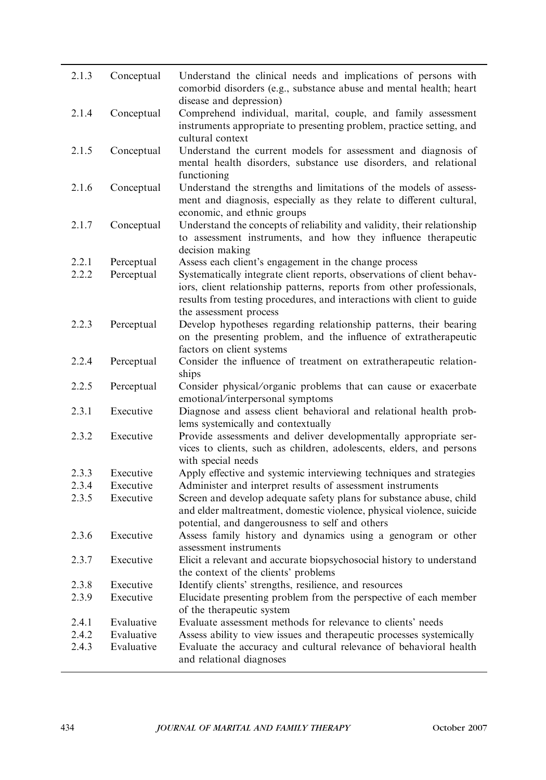| 2.1.3 | Conceptual | Understand the clinical needs and implications of persons with<br>comorbid disorders (e.g., substance abuse and mental health; heart<br>disease and depression)                                                                                     |
|-------|------------|-----------------------------------------------------------------------------------------------------------------------------------------------------------------------------------------------------------------------------------------------------|
| 2.1.4 | Conceptual | Comprehend individual, marital, couple, and family assessment<br>instruments appropriate to presenting problem, practice setting, and<br>cultural context                                                                                           |
| 2.1.5 | Conceptual | Understand the current models for assessment and diagnosis of<br>mental health disorders, substance use disorders, and relational<br>functioning                                                                                                    |
| 2.1.6 | Conceptual | Understand the strengths and limitations of the models of assess-<br>ment and diagnosis, especially as they relate to different cultural,<br>economic, and ethnic groups                                                                            |
| 2.1.7 | Conceptual | Understand the concepts of reliability and validity, their relationship<br>to assessment instruments, and how they influence therapeutic<br>decision making                                                                                         |
| 2.2.1 | Perceptual | Assess each client's engagement in the change process                                                                                                                                                                                               |
| 2.2.2 | Perceptual | Systematically integrate client reports, observations of client behav-<br>iors, client relationship patterns, reports from other professionals,<br>results from testing procedures, and interactions with client to guide<br>the assessment process |
| 2.2.3 | Perceptual | Develop hypotheses regarding relationship patterns, their bearing<br>on the presenting problem, and the influence of extratherapeutic<br>factors on client systems                                                                                  |
| 2.2.4 | Perceptual | Consider the influence of treatment on extratherapeutic relation-<br>ships                                                                                                                                                                          |
| 2.2.5 | Perceptual | Consider physical/organic problems that can cause or exacerbate<br>emotional/interpersonal symptoms                                                                                                                                                 |
| 2.3.1 | Executive  | Diagnose and assess client behavioral and relational health prob-<br>lems systemically and contextually                                                                                                                                             |
| 2.3.2 | Executive  | Provide assessments and deliver developmentally appropriate ser-<br>vices to clients, such as children, adolescents, elders, and persons<br>with special needs                                                                                      |
| 2.3.3 | Executive  | Apply effective and systemic interviewing techniques and strategies                                                                                                                                                                                 |
| 2.3.4 | Executive  | Administer and interpret results of assessment instruments                                                                                                                                                                                          |
| 2.3.5 | Executive  | Screen and develop adequate safety plans for substance abuse, child<br>and elder maltreatment, domestic violence, physical violence, suicide<br>potential, and dangerousness to self and others                                                     |
| 2.3.6 | Executive  | Assess family history and dynamics using a genogram or other<br>assessment instruments                                                                                                                                                              |
| 2.3.7 | Executive  | Elicit a relevant and accurate biopsychosocial history to understand<br>the context of the clients' problems                                                                                                                                        |
| 2.3.8 | Executive  | Identify clients' strengths, resilience, and resources                                                                                                                                                                                              |
| 2.3.9 | Executive  | Elucidate presenting problem from the perspective of each member<br>of the therapeutic system                                                                                                                                                       |
| 2.4.1 | Evaluative | Evaluate assessment methods for relevance to clients' needs                                                                                                                                                                                         |
| 2.4.2 | Evaluative | Assess ability to view issues and therapeutic processes systemically                                                                                                                                                                                |
| 2.4.3 | Evaluative | Evaluate the accuracy and cultural relevance of behavioral health<br>and relational diagnoses                                                                                                                                                       |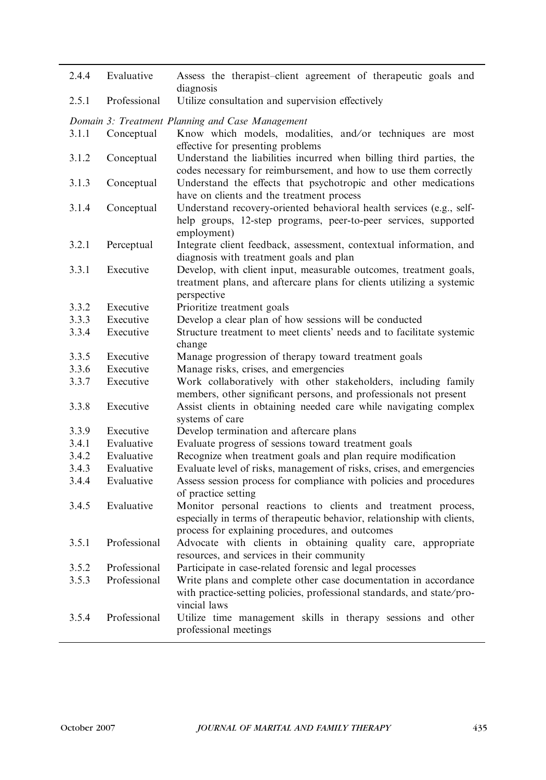| 2.4.4 | Evaluative   | Assess the therapist-client agreement of therapeutic goals and<br>diagnosis                                                                                                                |
|-------|--------------|--------------------------------------------------------------------------------------------------------------------------------------------------------------------------------------------|
| 2.5.1 | Professional | Utilize consultation and supervision effectively                                                                                                                                           |
|       |              | Domain 3: Treatment Planning and Case Management                                                                                                                                           |
| 3.1.1 | Conceptual   | Know which models, modalities, and/or techniques are most<br>effective for presenting problems                                                                                             |
| 3.1.2 | Conceptual   | Understand the liabilities incurred when billing third parties, the<br>codes necessary for reimbursement, and how to use them correctly                                                    |
| 3.1.3 | Conceptual   | Understand the effects that psychotropic and other medications<br>have on clients and the treatment process                                                                                |
| 3.1.4 | Conceptual   | Understand recovery-oriented behavioral health services (e.g., self-<br>help groups, 12-step programs, peer-to-peer services, supported<br>employment)                                     |
| 3.2.1 | Perceptual   | Integrate client feedback, assessment, contextual information, and<br>diagnosis with treatment goals and plan                                                                              |
| 3.3.1 | Executive    | Develop, with client input, measurable outcomes, treatment goals,<br>treatment plans, and aftercare plans for clients utilizing a systemic<br>perspective                                  |
| 3.3.2 | Executive    | Prioritize treatment goals                                                                                                                                                                 |
| 3.3.3 | Executive    | Develop a clear plan of how sessions will be conducted                                                                                                                                     |
| 3.3.4 | Executive    | Structure treatment to meet clients' needs and to facilitate systemic<br>change                                                                                                            |
| 3.3.5 | Executive    | Manage progression of therapy toward treatment goals                                                                                                                                       |
| 3.3.6 | Executive    | Manage risks, crises, and emergencies                                                                                                                                                      |
| 3.3.7 | Executive    | Work collaboratively with other stakeholders, including family<br>members, other significant persons, and professionals not present                                                        |
| 3.3.8 | Executive    | Assist clients in obtaining needed care while navigating complex<br>systems of care                                                                                                        |
| 3.3.9 | Executive    | Develop termination and aftercare plans                                                                                                                                                    |
| 3.4.1 | Evaluative   | Evaluate progress of sessions toward treatment goals                                                                                                                                       |
| 3.4.2 | Evaluative   | Recognize when treatment goals and plan require modification                                                                                                                               |
| 3.4.3 | Evaluative   | Evaluate level of risks, management of risks, crises, and emergencies                                                                                                                      |
| 3.4.4 | Evaluative   | Assess session process for compliance with policies and procedures<br>of practice setting                                                                                                  |
| 3.4.5 | Evaluative   | Monitor personal reactions to clients and treatment process,<br>especially in terms of therapeutic behavior, relationship with clients,<br>process for explaining procedures, and outcomes |
| 3.5.1 | Professional | Advocate with clients in obtaining quality care, appropriate<br>resources, and services in their community                                                                                 |
| 3.5.2 | Professional | Participate in case-related forensic and legal processes                                                                                                                                   |
| 3.5.3 | Professional | Write plans and complete other case documentation in accordance<br>with practice-setting policies, professional standards, and state/pro-<br>vincial laws                                  |
| 3.5.4 | Professional | Utilize time management skills in therapy sessions and other<br>professional meetings                                                                                                      |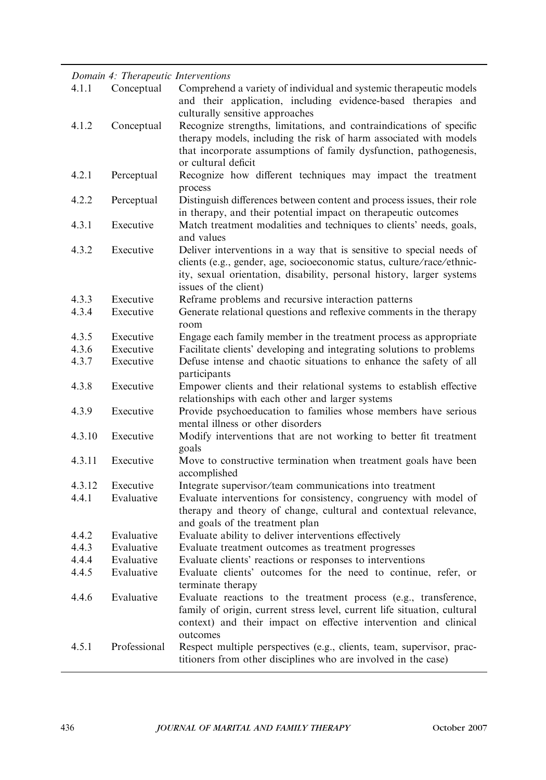## Domain 4: Therapeutic Interventions

| 4.1.1  | Conceptual   | Comprehend a variety of individual and systemic therapeutic models<br>and their application, including evidence-based therapies and<br>culturally sensitive approaches                                                                           |
|--------|--------------|--------------------------------------------------------------------------------------------------------------------------------------------------------------------------------------------------------------------------------------------------|
| 4.1.2  | Conceptual   | Recognize strengths, limitations, and contraindications of specific<br>therapy models, including the risk of harm associated with models<br>that incorporate assumptions of family dysfunction, pathogenesis,<br>or cultural deficit             |
| 4.2.1  | Perceptual   | Recognize how different techniques may impact the treatment<br>process                                                                                                                                                                           |
| 4.2.2  | Perceptual   | Distinguish differences between content and process issues, their role<br>in therapy, and their potential impact on therapeutic outcomes                                                                                                         |
| 4.3.1  | Executive    | Match treatment modalities and techniques to clients' needs, goals,<br>and values                                                                                                                                                                |
| 4.3.2  | Executive    | Deliver interventions in a way that is sensitive to special needs of<br>clients (e.g., gender, age, socioeconomic status, culture/race/ethnic-<br>ity, sexual orientation, disability, personal history, larger systems<br>issues of the client) |
| 4.3.3  | Executive    | Reframe problems and recursive interaction patterns                                                                                                                                                                                              |
| 4.3.4  | Executive    | Generate relational questions and reflexive comments in the therapy<br>room                                                                                                                                                                      |
| 4.3.5  | Executive    | Engage each family member in the treatment process as appropriate                                                                                                                                                                                |
| 4.3.6  | Executive    | Facilitate clients' developing and integrating solutions to problems                                                                                                                                                                             |
| 4.3.7  | Executive    | Defuse intense and chaotic situations to enhance the safety of all<br>participants                                                                                                                                                               |
| 4.3.8  | Executive    | Empower clients and their relational systems to establish effective<br>relationships with each other and larger systems                                                                                                                          |
| 4.3.9  | Executive    | Provide psychoeducation to families whose members have serious<br>mental illness or other disorders                                                                                                                                              |
| 4.3.10 | Executive    | Modify interventions that are not working to better fit treatment<br>goals                                                                                                                                                                       |
| 4.3.11 | Executive    | Move to constructive termination when treatment goals have been<br>accomplished                                                                                                                                                                  |
| 4.3.12 | Executive    | Integrate supervisor/team communications into treatment                                                                                                                                                                                          |
| 4.4.1  | Evaluative   | Evaluate interventions for consistency, congruency with model of<br>therapy and theory of change, cultural and contextual relevance,<br>and goals of the treatment plan                                                                          |
| 4.4.2  | Evaluative   | Evaluate ability to deliver interventions effectively                                                                                                                                                                                            |
| 4.4.3  | Evaluative   | Evaluate treatment outcomes as treatment progresses                                                                                                                                                                                              |
| 4.4.4  | Evaluative   | Evaluate clients' reactions or responses to interventions                                                                                                                                                                                        |
| 4.4.5  | Evaluative   | Evaluate clients' outcomes for the need to continue, refer, or<br>terminate therapy                                                                                                                                                              |
| 4.4.6  | Evaluative   | Evaluate reactions to the treatment process (e.g., transference,<br>family of origin, current stress level, current life situation, cultural<br>context) and their impact on effective intervention and clinical<br>outcomes                     |
| 4.5.1  | Professional | Respect multiple perspectives (e.g., clients, team, supervisor, prac-<br>titioners from other disciplines who are involved in the case)                                                                                                          |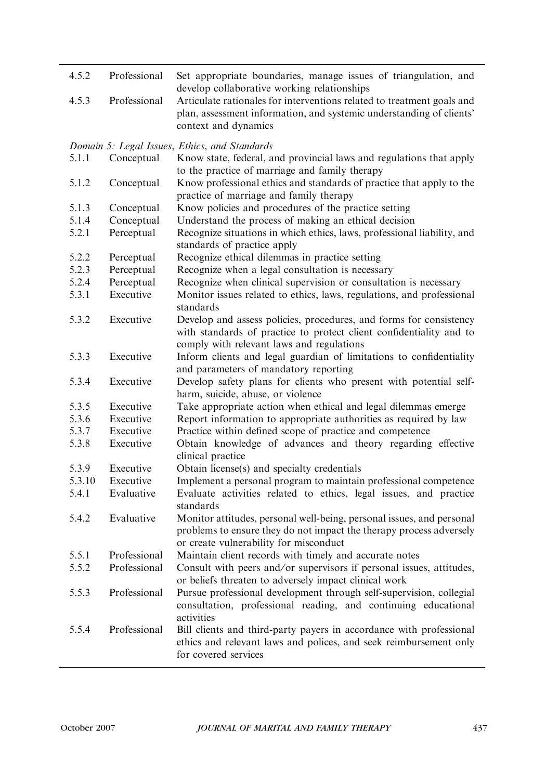| 4.5.2          | Professional             | Set appropriate boundaries, manage issues of triangulation, and<br>develop collaborative working relationships                                                   |
|----------------|--------------------------|------------------------------------------------------------------------------------------------------------------------------------------------------------------|
| 4.5.3          | Professional             | Articulate rationales for interventions related to treatment goals and<br>plan, assessment information, and systemic understanding of clients'                   |
|                |                          | context and dynamics                                                                                                                                             |
|                |                          | Domain 5: Legal Issues, Ethics, and Standards                                                                                                                    |
| 5.1.1          | Conceptual               | Know state, federal, and provincial laws and regulations that apply                                                                                              |
|                |                          | to the practice of marriage and family therapy                                                                                                                   |
| 5.1.2          | Conceptual               | Know professional ethics and standards of practice that apply to the                                                                                             |
|                |                          | practice of marriage and family therapy                                                                                                                          |
| 5.1.3          | Conceptual               | Know policies and procedures of the practice setting                                                                                                             |
| 5.1.4<br>5.2.1 | Conceptual<br>Perceptual | Understand the process of making an ethical decision<br>Recognize situations in which ethics, laws, professional liability, and                                  |
|                |                          | standards of practice apply                                                                                                                                      |
| 5.2.2          | Perceptual               | Recognize ethical dilemmas in practice setting                                                                                                                   |
| 5.2.3          | Perceptual               | Recognize when a legal consultation is necessary                                                                                                                 |
| 5.2.4          | Perceptual               | Recognize when clinical supervision or consultation is necessary                                                                                                 |
| 5.3.1          | Executive                | Monitor issues related to ethics, laws, regulations, and professional<br>standards                                                                               |
| 5.3.2          | Executive                | Develop and assess policies, procedures, and forms for consistency                                                                                               |
|                |                          | with standards of practice to protect client confidentiality and to<br>comply with relevant laws and regulations                                                 |
| 5.3.3          | Executive                | Inform clients and legal guardian of limitations to confidentiality                                                                                              |
|                |                          | and parameters of mandatory reporting                                                                                                                            |
| 5.3.4          | Executive                | Develop safety plans for clients who present with potential self-<br>harm, suicide, abuse, or violence                                                           |
| 5.3.5          | Executive                | Take appropriate action when ethical and legal dilemmas emerge                                                                                                   |
| 5.3.6          | Executive                | Report information to appropriate authorities as required by law                                                                                                 |
| 5.3.7          | Executive                | Practice within defined scope of practice and competence                                                                                                         |
| 5.3.8          | Executive                | Obtain knowledge of advances and theory regarding effective<br>clinical practice                                                                                 |
| 5.3.9          | Executive                | Obtain license(s) and specialty credentials                                                                                                                      |
| 5.3.10         | Executive                | Implement a personal program to maintain professional competence                                                                                                 |
| 5.4.1          | Evaluative               | Evaluate activities related to ethics, legal issues, and practice<br>standards                                                                                   |
| 5.4.2          | Evaluative               | Monitor attitudes, personal well-being, personal issues, and personal                                                                                            |
|                |                          | problems to ensure they do not impact the therapy process adversely<br>or create vulnerability for misconduct                                                    |
| 5.5.1          | Professional             | Maintain client records with timely and accurate notes                                                                                                           |
| 5.5.2          | Professional             | Consult with peers and/or supervisors if personal issues, attitudes,                                                                                             |
|                |                          | or beliefs threaten to adversely impact clinical work                                                                                                            |
| 5.5.3          | Professional             | Pursue professional development through self-supervision, collegial<br>consultation, professional reading, and continuing educational<br>activities              |
| 5.5.4          | Professional             | Bill clients and third-party payers in accordance with professional<br>ethics and relevant laws and polices, and seek reimbursement only<br>for covered services |